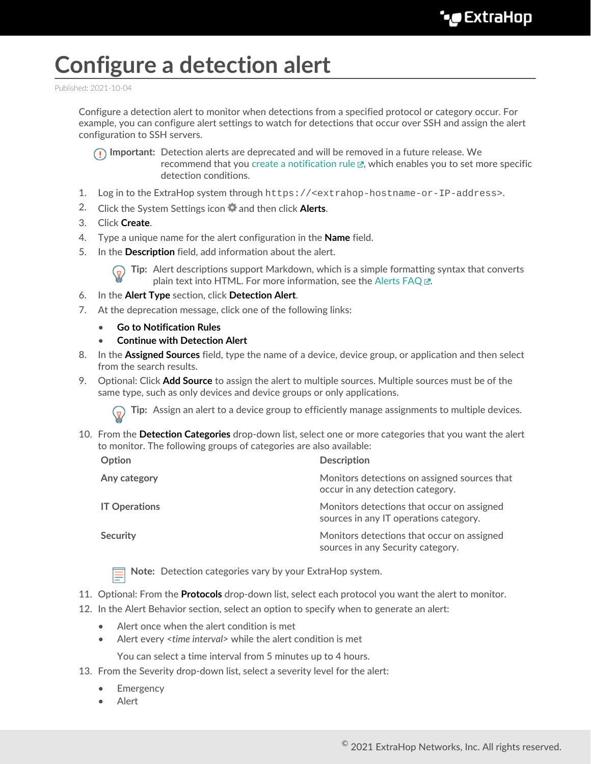## **Configure a detection alert**

Published: 2021-10-04

Configure a detection alert to monitor when detections from a specified protocol or category occur. For example, you can configure alert settings to watch for detections that occur over SSH and assign the alert configuration to SSH servers.

**Important:** Detection alerts are deprecated and will be removed in a future release. We recommend that you create a notification rule  $\mathbb{F}$ , which enables you to set more specific detection conditions.

- 1. Log in to the ExtraHop system through https://<extrahop-hostname-or-IP-address>.
- 2. Click the System Settings icon **a** and then click **Alerts**.
- 3. Click **Create**.

 $\mathcal{L}_{\mathcal{A}}$ 

- 4. Type a unique name for the alert configuration in the **Name** field.
- 5. In the **Description** field, add information about the alert.

**Tip:** Alert descriptions support Markdown, which is a simple formatting syntax that converts plain text into HTML. For more information, see the [Alerts FAQ .](https://docs.extrahop.com/8.5/alerts-faq)..

- 6. In the **Alert Type** section, click **Detection Alert**.
- 7. At the deprecation message, click one of the following links:
	- **Go to Notification Rules**
	- **Continue with Detection Alert**
- 8. In the **Assigned Sources** field, type the name of a device, device group, or application and then select from the search results.
- 9. Optional: Click **Add Source** to assign the alert to multiple sources. Multiple sources must be of the same type, such as only devices and device groups or only applications.

**Tip:** Assign an alert to a device group to efficiently manage assignments to multiple devices.

10. From the **Detection Categories** drop-down list, select one or more categories that you want the alert to monitor. The following groups of categories are also available:

| <b>Description</b>                                                                   |
|--------------------------------------------------------------------------------------|
| Monitors detections on assigned sources that<br>occur in any detection category.     |
| Monitors detections that occur on assigned<br>sources in any IT operations category. |
| Monitors detections that occur on assigned<br>sources in any Security category.      |
|                                                                                      |

**Note:** Detection categories vary by your ExtraHop system.

- 11. Optional: From the **Protocols** drop-down list, select each protocol you want the alert to monitor.
- 12. In the Alert Behavior section, select an option to specify when to generate an alert:
	- Alert once when the alert condition is met
	- Alert every *<time interval>* while the alert condition is met

You can select a time interval from 5 minutes up to 4 hours.

- 13. From the Severity drop-down list, select a severity level for the alert:
	- **Emergency**
	- Alert